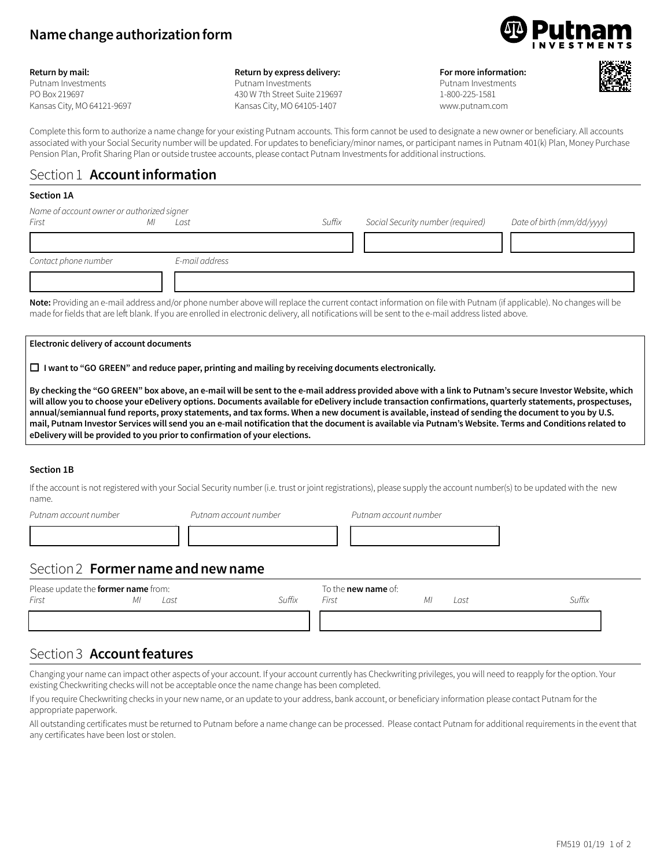# **Name change authorization form**



#### **Return by mail:**

Putnam Investments PO Box 219697 Kansas City, MO 64121-9697

#### **Return by express delivery:**

Putnam Investments 430 W 7th Street Suite 219697 Kansas City, MO 64105-1407

**For more information:** Putnam Investments 1-800-225-1581 www.putnam.com



Complete this form to authorize a name change for your existing Putnam accounts. This form cannot be used to designate a new owner or beneficiary. All accounts associated with your Social Security number will be updated. For updates to beneficiary/minor names, or participant names in Putnam 401(k) Plan, Money Purchase Pension Plan, Profit Sharing Plan or outside trustee accounts, please contact Putnam Investments for additional instructions.

## Section 1 **Account information**

#### **Section 1A**

| Name of account owner or authorized signer                                                                         |                                                |                |        |                                                                                                                 |                            |  |  |
|--------------------------------------------------------------------------------------------------------------------|------------------------------------------------|----------------|--------|-----------------------------------------------------------------------------------------------------------------|----------------------------|--|--|
| First                                                                                                              |                                                | Last           | Suffix | Social Security number (required)                                                                               | Date of birth (mm/dd/yyyy) |  |  |
|                                                                                                                    |                                                |                |        |                                                                                                                 |                            |  |  |
| Contact phone number                                                                                               |                                                | E-mail address |        |                                                                                                                 |                            |  |  |
|                                                                                                                    |                                                |                |        |                                                                                                                 |                            |  |  |
| $\mathbf{a}$ and $\mathbf{a}$ and $\mathbf{a}$ and $\mathbf{a}$ and $\mathbf{a}$ and $\mathbf{a}$ and $\mathbf{a}$ | $\mathbf{H}$ and $\mathbf{H}$ and $\mathbf{H}$ | $\blacksquare$ |        | the contract of the contract of the contract of the contract of the contract of the contract of the contract of | $-1111$                    |  |  |

**Note:** Providing an e-mail address and/or phone number above will replace the current contact information on file with Putnam (if applicable). No changes will be made for fields that are left blank. If you are enrolled in electronic delivery, all notifications will be sent to the e-mail address listed above.

#### **Electronic delivery of account documents**

o **I want to "GO GREEN" and reduce paper, printing and mailing by receiving documents electronically.**

**By checking the "GO GREEN" box above, an e-mail will be sent to the e-mail address provided above with a link to Putnam's secure Investor Website, which will allow you to choose your eDelivery options. Documents available for eDelivery include transaction confirmations, quarterly statements, prospectuses, annual/semiannual fund reports, proxy statements, and tax forms. When a new document is available, instead of sending the document to you by U.S. mail, Putnam Investor Services will send you an e-mail notification that the document is available via Putnam's Website. Terms and Conditions related to eDelivery will be provided to you prior to confirmation of your elections.**

### **Section 1B**

If the account is not registered with your Social Security number (i.e. trust or joint registrations), please supply the account number(s) to be updated with the new name.

*Putnam account number Putnam account number Putnam account number*

12222222224 12222222224 12222222224

## Section 2 **Former name and new name**

| Please update the former name from: |    |      |        | To the <b>new name</b> of: |      |        |
|-------------------------------------|----|------|--------|----------------------------|------|--------|
| First                               | ΜI | Last | Suffix | First                      | Last | Suffix |
|                                     |    |      |        |                            |      |        |
|                                     |    |      |        |                            |      |        |

## Section 3 **Account features**

Changing your name can impact other aspects of your account. If your account currently has Checkwriting privileges, you will need to reapply for the option. Your existing Checkwriting checks will not be acceptable once the name change has been completed.

If you require Checkwriting checks in your new name, or an update to your address, bank account, or beneficiary information please contact Putnam for the appropriate paperwork.

All outstanding certificates must be returned to Putnam before a name change can be processed. Please contact Putnam for additional requirements in the event that any certificates have been lost or stolen.